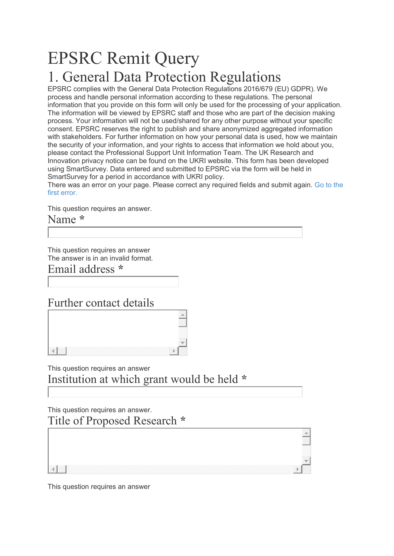# EPSRC Remit Query

## 1. General Data Protection Regulations

EPSRC complies with the General Data Protection Regulations 2016/679 (EU) GDPR). We process and handle personal information according to these regulations. The personal information that you provide on this form will only be used for the processing of your application. The information will be viewed by EPSRC staff and those who are part of the decision making process. Your information will not be used/shared for any other purpose without your specific consent. EPSRC reserves the right to publish and share anonymized aggregated information with stakeholders. For further information on how your personal data is used, how we maintain the security of your information, and your rights to access that information we hold about you, please contact the Professional Support Unit Information Team. The UK Research and Innovation privacy notice can be found on the UKRI website. This form has been developed using SmartSurvey. Data entered and submitted to EPSRC via the form will be held in SmartSurvey for a period in accordance with UKRI policy.

There was an error on your page. Please correct any required fields and submit again. [Go to the](https://www.smartsurvey.co.uk/s/RemitForm/?preview=B5919267966EF4FA50FDCF1DE4859E)  [first error.](https://www.smartsurvey.co.uk/s/RemitForm/?preview=B5919267966EF4FA50FDCF1DE4859E)

This question requires an answer.

Name **\***

This question requires an answer The answer is in an invalid format.

Email address **\***

#### Further contact details

ă.

This question requires an answer

Institution at which grant would be held **\***

This question requires an answer.

Title of Proposed Research **\***

This question requires an answer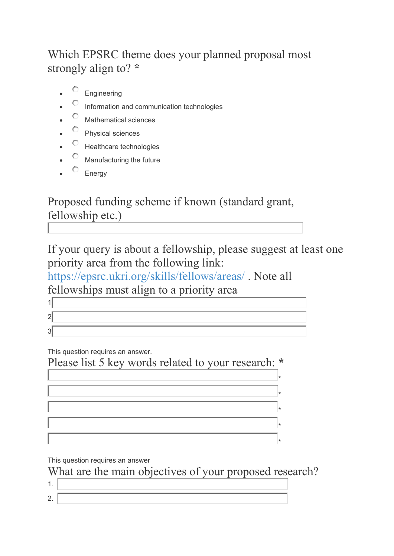Which EPSRC theme does your planned proposal most strongly align to? **\***

- Engineering
- Information and communication technologies
- Mathematical sciences
- Physical sciences
- Healthcare technologies
- Manufacturing the future
- Energy

Proposed funding scheme if known (standard grant, fellowship etc.)

If your query is about a fellowship, please suggest at least one priority area from the following link:

<https://epsrc.ukri.org/skills/fellows/areas/> . Note all fellowships must align to a priority area

 $2\sqrt{2}$  $\sqrt{3}$ 

 $1$ 

This question requires an answer.

Please list 5 key words related to your research: **\*** \* \* \* \* \*

This question requires an answer

What are the main objectives of your proposed research?

1.

2.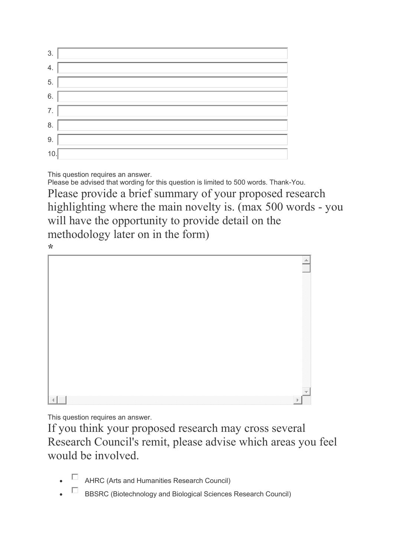| 3.  |  |
|-----|--|
| 4.  |  |
| 5.  |  |
| 6.  |  |
| 7.  |  |
| 8.  |  |
| 9.  |  |
| 10. |  |

This question requires an answer.

Please be advised that wording for this question is limited to 500 words. Thank-You. Please provide a brief summary of your proposed research highlighting where the main novelty is. (max 500 words - you will have the opportunity to provide detail on the methodology later on in the form)

**\***

This question requires an answer.

If you think your proposed research may cross several Research Council's remit, please advise which areas you feel would be involved.

- AHRC (Arts and Humanities Research Council)
- BBSRC (Biotechnology and Biological Sciences Research Council)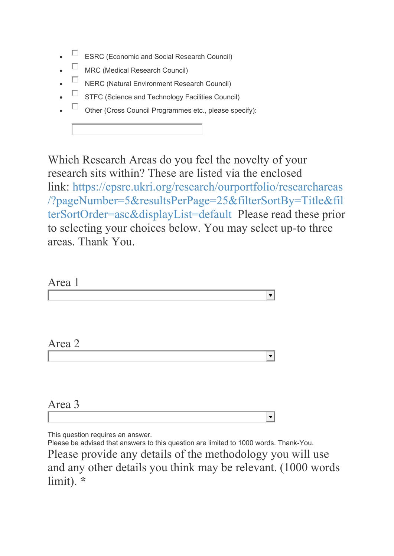- ESRC (Economic and Social Research Council)
- $\Box$  MRC (Medical Research Council)
- $\Box$  NERC (Natural Environment Research Council)
- □ STFC (Science and Technology Facilities Council)
- $\Box$  Other (Cross Council Programmes etc., please specify):

Which Research Areas do you feel the novelty of your research sits within? These are listed via the enclosed link: [https://epsrc.ukri.org/research/ourportfolio/researchareas](https://epsrc.ukri.org/research/ourportfolio/researchareas/?pageNumber=5&resultsPerPage=25&filterSortBy=Title&filterSortOrder=asc&displayList=default) [/?pageNumber=5&resultsPerPage=25&filterSortBy=Title&fil](https://epsrc.ukri.org/research/ourportfolio/researchareas/?pageNumber=5&resultsPerPage=25&filterSortBy=Title&filterSortOrder=asc&displayList=default) [terSortOrder=asc&displayList=default](https://epsrc.ukri.org/research/ourportfolio/researchareas/?pageNumber=5&resultsPerPage=25&filterSortBy=Title&filterSortOrder=asc&displayList=default) Please read these prior to selecting your choices below. You may select up-to three areas. Thank You.

| Area 1 |  |                          |
|--------|--|--------------------------|
|        |  | $\overline{\phantom{a}}$ |
|        |  |                          |
|        |  |                          |
| Area 2 |  |                          |
|        |  | <b>The Second</b>        |
|        |  |                          |
|        |  |                          |

Area 3  $\left| \cdot \right|$ 

This question requires an answer.

Please be advised that answers to this question are limited to 1000 words. Thank-You. Please provide any details of the methodology you will use and any other details you think may be relevant. (1000 words limit). **\***